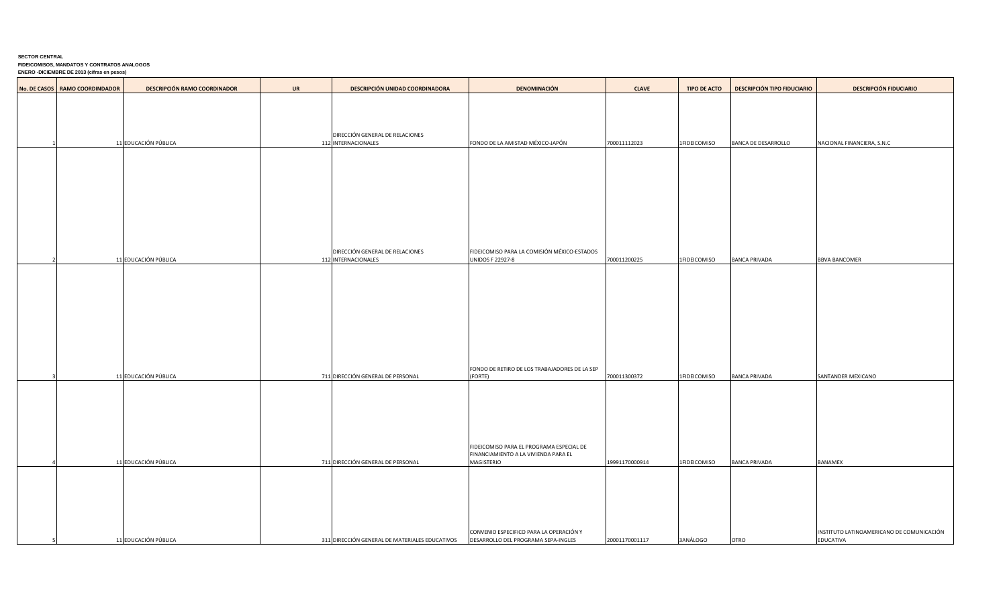## **SECTOR CENTRAL FIDEICOMISOS, MANDATOS Y CONTRATOS ANALOGOS ENERO -DICIEMBRE DE 2013 (cifras en pesos)**

| No. DE CASOS   RAMO COORDINDADOR | <b>DESCRIPCIÓN RAMO COORDINADOR</b> | <b>UR</b> | <b>DESCRIPCIÓN UNIDAD COORDINADORA</b>         | <b>DENOMINACIÓN</b>                                                            | <b>CLAVE</b>   | <b>TIPO DE ACTO</b> | <b>DESCRIPCIÓN TIPO FIDUCIARIO</b> | <b>DESCRIPCIÓN FIDUCIARIO</b>                          |
|----------------------------------|-------------------------------------|-----------|------------------------------------------------|--------------------------------------------------------------------------------|----------------|---------------------|------------------------------------|--------------------------------------------------------|
|                                  |                                     |           |                                                |                                                                                |                |                     |                                    |                                                        |
|                                  |                                     |           |                                                |                                                                                |                |                     |                                    |                                                        |
|                                  |                                     |           | DIRECCIÓN GENERAL DE RELACIONES                |                                                                                |                |                     |                                    |                                                        |
|                                  | 11 EDUCACIÓN PÚBLICA                |           | 112 INTERNACIONALES                            | FONDO DE LA AMISTAD MÉXICO-JAPÓN                                               | 700011112023   | 1FIDEICOMISO        | BANCA DE DESARROLLO                | NACIONAL FINANCIERA, S.N.C                             |
|                                  |                                     |           |                                                |                                                                                |                |                     |                                    |                                                        |
|                                  |                                     |           |                                                |                                                                                |                |                     |                                    |                                                        |
|                                  |                                     |           |                                                |                                                                                |                |                     |                                    |                                                        |
|                                  |                                     |           |                                                |                                                                                |                |                     |                                    |                                                        |
|                                  |                                     |           |                                                |                                                                                |                |                     |                                    |                                                        |
|                                  |                                     |           |                                                |                                                                                |                |                     |                                    |                                                        |
|                                  |                                     |           | DIRECCIÓN GENERAL DE RELACIONES                | FIDEICOMISO PARA LA COMISIÓN MÉXICO-ESTADOS                                    |                |                     |                                    |                                                        |
|                                  | 11 EDUCACIÓN PÚBLICA                |           | 112 INTERNACIONALES                            | <b>UNIDOS F 22927-8</b>                                                        | 700011200225   | 1FIDEICOMISO        | BANCA PRIVADA                      | <b>BBVA BANCOMER</b>                                   |
|                                  |                                     |           |                                                |                                                                                |                |                     |                                    |                                                        |
|                                  |                                     |           |                                                |                                                                                |                |                     |                                    |                                                        |
|                                  |                                     |           |                                                |                                                                                |                |                     |                                    |                                                        |
|                                  |                                     |           |                                                |                                                                                |                |                     |                                    |                                                        |
|                                  |                                     |           |                                                |                                                                                |                |                     |                                    |                                                        |
|                                  |                                     |           |                                                |                                                                                |                |                     |                                    |                                                        |
|                                  | 11 EDUCACIÓN PÚBLICA                |           | 711 DIRECCIÓN GENERAL DE PERSONAL              | FONDO DE RETIRO DE LOS TRABAJADORES DE LA SEP<br>(FORTE)                       | 700011300372   | 1FIDEICOMISO        | <b>BANCA PRIVADA</b>               | SANTANDER MEXICANO                                     |
|                                  |                                     |           |                                                |                                                                                |                |                     |                                    |                                                        |
|                                  |                                     |           |                                                |                                                                                |                |                     |                                    |                                                        |
|                                  |                                     |           |                                                |                                                                                |                |                     |                                    |                                                        |
|                                  |                                     |           |                                                |                                                                                |                |                     |                                    |                                                        |
|                                  |                                     |           |                                                | FIDEICOMISO PARA EL PROGRAMA ESPECIAL DE                                       |                |                     |                                    |                                                        |
|                                  | 11 EDUCACIÓN PÚBLICA                |           | 711 DIRECCIÓN GENERAL DE PERSONAL              | FINANCIAMIENTO A LA VIVIENDA PARA EL<br>MAGISTERIO                             | 19991170000914 | 1FIDEICOMISO        | <b>BANCA PRIVADA</b>               | <b>BANAMEX</b>                                         |
|                                  |                                     |           |                                                |                                                                                |                |                     |                                    |                                                        |
|                                  |                                     |           |                                                |                                                                                |                |                     |                                    |                                                        |
|                                  |                                     |           |                                                |                                                                                |                |                     |                                    |                                                        |
|                                  |                                     |           |                                                |                                                                                |                |                     |                                    |                                                        |
|                                  | 11 EDUCACIÓN PÚBLICA                |           | 311 DIRECCIÓN GENERAL DE MATERIALES EDUCATIVOS | CONVENIO ESPECIFICO PARA LA OPERACIÓN Y<br>DESARROLLO DEL PROGRAMA SEPA-INGLES | 20001170001117 | 3ANÁLOGO            | <b>OTRO</b>                        | INSTITUTO LATINOAMERICANO DE COMUNICACIÓN<br>EDUCATIVA |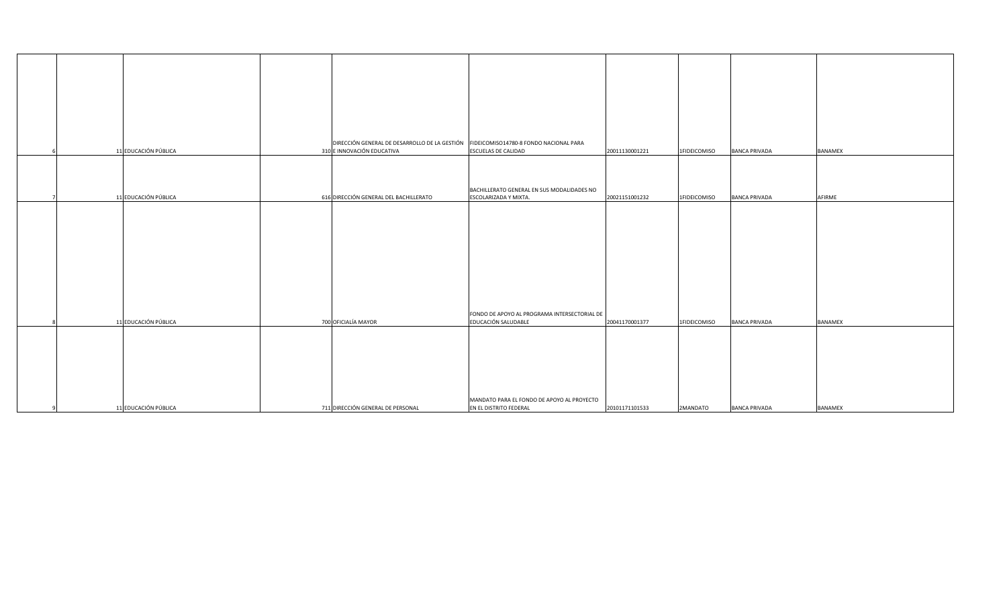|                      |                                        | DIRECCIÓN GENERAL DE DESARROLLO DE LA GESTIÓN FIDEICOMISO14780-8 FONDO NACIONAL PARA |              |                                        |  |
|----------------------|----------------------------------------|--------------------------------------------------------------------------------------|--------------|----------------------------------------|--|
| 11 EDUCACIÓN PÚBLICA | 310 E INNOVACIÓN EDUCATIVA             | <b>ESCUELAS DE CALIDAD</b><br>20011130001221                                         | 1FIDEICOMISO | <b>BANCA PRIVADA</b><br><b>BANAMEX</b> |  |
|                      |                                        |                                                                                      |              |                                        |  |
|                      |                                        |                                                                                      |              |                                        |  |
|                      |                                        |                                                                                      |              |                                        |  |
|                      |                                        | BACHILLERATO GENERAL EN SUS MODALIDADES NO                                           |              |                                        |  |
| 11 EDUCACIÓN PÚBLICA | 616 DIRECCIÓN GENERAL DEL BACHILLERATO | <b>ESCOLARIZADA Y MIXTA.</b><br>20021151001232                                       | 1FIDEICOMISO | <b>BANCA PRIVADA</b><br>AFIRME         |  |
|                      |                                        |                                                                                      |              |                                        |  |
|                      |                                        |                                                                                      |              |                                        |  |
|                      |                                        |                                                                                      |              |                                        |  |
|                      |                                        |                                                                                      |              |                                        |  |
|                      |                                        |                                                                                      |              |                                        |  |
|                      |                                        |                                                                                      |              |                                        |  |
|                      |                                        |                                                                                      |              |                                        |  |
|                      |                                        |                                                                                      |              |                                        |  |
|                      |                                        |                                                                                      |              |                                        |  |
|                      |                                        |                                                                                      |              |                                        |  |
|                      |                                        |                                                                                      |              |                                        |  |
|                      |                                        |                                                                                      |              |                                        |  |
|                      |                                        | FONDO DE APOYO AL PROGRAMA INTERSECTORIAL DE                                         |              |                                        |  |
| 11 EDUCACIÓN PÚBLICA | 700 OFICIALÍA MAYOR                    | EDUCACIÓN SALUDABLE<br>20041170001377                                                | 1FIDEICOMISO | <b>BANCA PRIVADA</b><br><b>BANAMEX</b> |  |
|                      |                                        |                                                                                      |              |                                        |  |
|                      |                                        |                                                                                      |              |                                        |  |
|                      |                                        |                                                                                      |              |                                        |  |
|                      |                                        |                                                                                      |              |                                        |  |
|                      |                                        |                                                                                      |              |                                        |  |
|                      |                                        |                                                                                      |              |                                        |  |
|                      |                                        |                                                                                      |              |                                        |  |
|                      |                                        | MANDATO PARA EL FONDO DE APOYO AL PROYECTO                                           |              |                                        |  |
| 11 EDUCACIÓN PÚBLICA | 711 DIRECCIÓN GENERAL DE PERSONAL      | EN EL DISTRITO FEDERAL<br>20101171101533                                             | 2MANDATO     | <b>BANCA PRIVADA</b><br><b>BANAMEX</b> |  |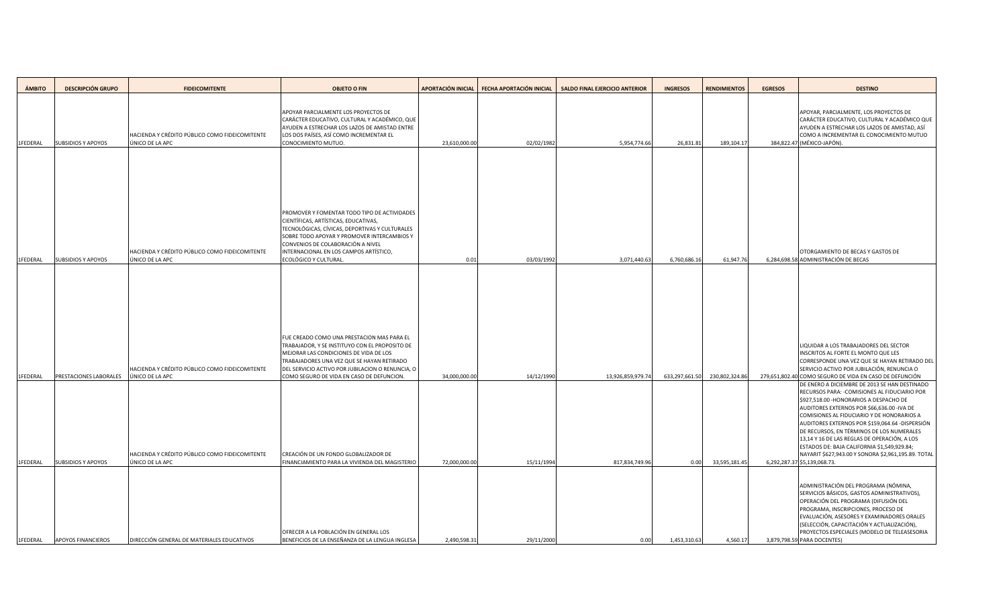| <b>ÁMBITO</b>        | <b>DESCRIPCIÓN GRUPO</b>                                   | <b>FIDEICOMITENTE</b>                                                                | <b>OBJETO O FIN</b>                                                                                                                                                                                                                                                  |                                | APORTACIÓN INICIAL   FECHA APORTACIÓN INICIAL | <b>SALDO FINAL EJERCICIO ANTERIOR</b> | <b>INGRESOS</b>        | <b>RENDIMIENTOS</b>             | <b>EGRESOS</b> | <b>DESTINO</b>                                                                                                                                                                                                                                                                                                                                                                                                                                                                                                                                                                          |
|----------------------|------------------------------------------------------------|--------------------------------------------------------------------------------------|----------------------------------------------------------------------------------------------------------------------------------------------------------------------------------------------------------------------------------------------------------------------|--------------------------------|-----------------------------------------------|---------------------------------------|------------------------|---------------------------------|----------------|-----------------------------------------------------------------------------------------------------------------------------------------------------------------------------------------------------------------------------------------------------------------------------------------------------------------------------------------------------------------------------------------------------------------------------------------------------------------------------------------------------------------------------------------------------------------------------------------|
| 1FEDERAL             | <b>SUBSIDIOS Y APOYOS</b>                                  | HACIENDA Y CRÉDITO PÚBLICO COMO FIDEICOMITENTE<br>ÚNICO DE LA APC                    | APOYAR PARCIALMENTE LOS PROYECTOS DE<br>CARÁCTER EDUCATIVO, CULTURAL Y ACADÉMICO, QUE<br>AYUDEN A ESTRECHAR LOS LAZOS DE AMISTAD ENTRE<br>LOS DOS PAÍSES, ASÍ COMO INCREMENTAR EL<br>CONOCIMIENTO MUTUO.                                                             | 23,610,000.00                  | 02/02/1982                                    | 5,954,774.66                          | 26,831.81              | 189,104.17                      |                | APOYAR, PARCIALMENTE, LOS PROYECTOS DE<br>CARÁCTER EDUCATIVO, CULTURAL Y ACADÉMICO QUE<br>AYUDEN A ESTRECHAR LOS LAZOS DE AMISTAD, ASÍ<br>COMO A INCREMENTAR EL CONOCIMIENTO MUTUO<br>384,822.47 (MÉXICO-JAPÓN).                                                                                                                                                                                                                                                                                                                                                                        |
|                      |                                                            | HACIENDA Y CRÉDITO PÚBLICO COMO FIDEICOMITENTE                                       | PROMOVER Y FOMENTAR TODO TIPO DE ACTIVIDADES<br>CIENTÍFICAS, ARTÍSTICAS, EDUCATIVAS,<br>TECNOLÓGICAS, CÍVICAS, DEPORTIVAS Y CULTURALES<br>SOBRE TODO APOYAR Y PROMOVER INTERCAMBIOS Y<br>CONVENIOS DE COLABORACIÓN A NIVEL<br>INTERNACIONAL EN LOS CAMPOS ARTÍSTICO, |                                |                                               |                                       |                        |                                 |                | OTORGAMIENTO DE BECAS Y GASTOS DE                                                                                                                                                                                                                                                                                                                                                                                                                                                                                                                                                       |
| 1FEDERAL             | <b>SUBSIDIOS Y APOYOS</b>                                  | ÚNICO DE LA APC<br>HACIENDA Y CRÉDITO PÚBLICO COMO FIDEICOMITENTE                    | ECOLÓGICO Y CULTURAL.<br>FUE CREADO COMO UNA PRESTACION MAS PARA EL<br>TRABAJADOR, Y SE INSTITUYO CON EL PROPOSITO DE<br>MEJORAR LAS CONDICIONES DE VIDA DE LOS<br>TRABAJADORES UNA VEZ QUE SE HAYAN RETIRADO<br>DEL SERVICIO ACTIVO POR JUBILACION O RENUNCIA, O    | 0.01                           | 03/03/1992                                    | 3,071,440.63                          | 6,760,686.16           | 61,947.76                       |                | 6,284,698.58 ADMINISTRACIÓN DE BECAS<br>LIQUIDAR A LOS TRABAJADORES DEL SECTOR<br>INSCRITOS AL FORTE EL MONTO QUE LES<br>CORRESPONDE UNA VEZ QUE SE HAYAN RETIRADO DEL<br>SERVICIO ACTIVO POR JUBILACIÓN, RENUNCIA O                                                                                                                                                                                                                                                                                                                                                                    |
| 1FEDERAL<br>1FEDERAL | <b>PRESTACIONES LABORALES</b><br><b>SUBSIDIOS Y APOYOS</b> | ÚNICO DE LA APC<br>HACIENDA Y CRÉDITO PÚBLICO COMO FIDEICOMITENTE<br>ÚNICO DE LA APC | COMO SEGURO DE VIDA EN CASO DE DEFUNCION.<br>CREACIÓN DE UN FONDO GLOBALIZADOR DE<br>FINANCIAMIENTO PARA LA VIVIENDA DEL MAGISTERIO                                                                                                                                  | 34,000,000.00<br>72,000,000.00 | 14/12/1990<br>15/11/1994                      | 13,926,859,979.74<br>817,834,749.96   | 633,297,661.50<br>0.00 | 230,802,324.86<br>33,595,181.45 |                | 279,651,802.40 COMO SEGURO DE VIDA EN CASO DE DEFUNCIÓN<br>DE ENERO A DICIEMBRE DE 2013 SE HAN DESTINADO<br>RECURSOS PARA: - COMISIONES AL FIDUCIARIO POR<br>\$927,518.00 - HONORARIOS A DESPACHO DE<br>AUDITORES EXTERNOS POR \$66,636.00 - IVA DE<br>COMISIONES AL FIDUCIARIO Y DE HONORARIOS A<br>AUDITORES EXTERNOS POR \$159,064.64 -DISPERSIÓN<br>DE RECURSOS, EN TÉRMINOS DE LOS NUMERALES<br>13,14 Y 16 DE LAS REGLAS DE OPERACIÓN, A LOS<br>ESTADOS DE: BAJA CALIFORNIA \$1,549,929.84;<br>NAYARIT \$627,943.00 Y SONORA \$2,961,195.89. TOTAL<br>6,292,287.37 \$5,139,068.73. |
| 1FEDERAL             | <b>APOYOS FINANCIEROS</b>                                  | DIRECCIÓN GENERAL DE MATERIALES EDUCATIVOS                                           | OFRECER A LA POBLACIÓN EN GENERAL LOS<br>BENEFICIOS DE LA ENSEÑANZA DE LA LENGUA INGLESA                                                                                                                                                                             | 2,490,598.31                   | 29/11/2000                                    | 0.00                                  | 1,453,310.63           | 4,560.17                        |                | ADMINISTRACIÓN DEL PROGRAMA (NÓMINA,<br>SERVICIOS BÁSICOS, GASTOS ADMINISTRATIVOS),<br>OPERACIÓN DEL PROGRAMA (DIFUSIÓN DEL<br>PROGRAMA, INSCRIPCIONES, PROCESO DE<br>EVALUACIÓN, ASESORES Y EXAMINADORES ORALES<br>(SELECCIÓN, CAPACITACIÓN Y ACTUALIZACIÓN),<br>PROYECTOS ESPECIALES (MODELO DE TELEASESORIA<br>3,879,798.59 PARA DOCENTES)                                                                                                                                                                                                                                           |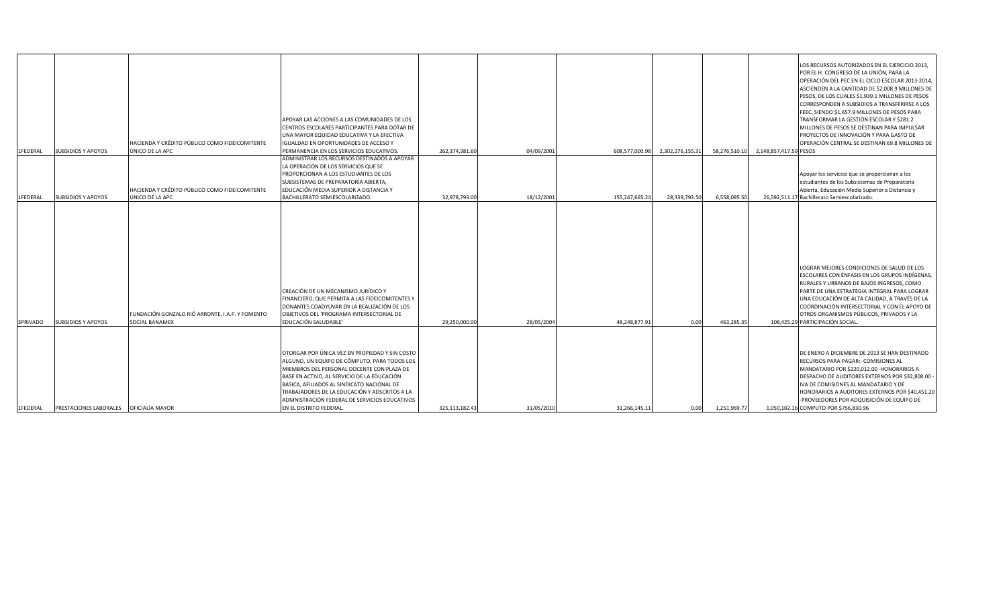| 1FEDERAL | <b>SUBSIDIOS Y APOYOS</b>                | HACIENDA Y CRÉDITO PÚBLICO COMO FIDEICOMITENTE<br>ÚNICO DE LA APC        | APOYAR LAS ACCIONES A LAS COMUNIDADES DE LOS<br>CENTROS ESCOLARES PARTICIPANTES PARA DOTAR DE<br>UNA MAYOR EQUIDAD EDUCATIVA Y LA EFECTIVA<br><b>IGUALDAD EN OPORTUNIDADES DE ACCESO Y</b><br>PERMANENCIA EN LOS SERVICIOS EDUCATIVOS.                                                                                                                                 | 262,374,381.60 | 04/09/2001 | 608,577,000.98 | 2,302,276,155.31 | 58,276,510.10 | 2,148,857,417.59 PESOS | LOS RECURSOS AUTORIZADOS EN EL EJERCICIO 2013,<br>POR EL H. CONGRESO DE LA UNIÓN, PARA LA<br>OPERACIÓN DEL PEC EN EL CICLO ESCOLAR 2013-2014,<br>ASCIENDEN A LA CANTIDAD DE \$2,008.9 MILLONES DE  <br>PESOS, DE LOS CUALES \$1,939.1 MILLONES DE PESOS<br>CORRESPONDEN A SUBSIDIOS A TRANSFERIRSE A LOS<br>FEEC, SIENDO \$1,657.9 MILLONES DE PESOS PARA<br>TRANSFORMAR LA GESTIÓN ESCOLAR Y \$281.2<br>MILLONES DE PESOS SE DESTINAN PARA IMPULSAR<br>PROYECTOS DE INNOVACIÓN Y PARA GASTO DE<br>OPERACIÓN CENTRAL SE DESTINAN 69.8 MILLONES DE |
|----------|------------------------------------------|--------------------------------------------------------------------------|------------------------------------------------------------------------------------------------------------------------------------------------------------------------------------------------------------------------------------------------------------------------------------------------------------------------------------------------------------------------|----------------|------------|----------------|------------------|---------------|------------------------|---------------------------------------------------------------------------------------------------------------------------------------------------------------------------------------------------------------------------------------------------------------------------------------------------------------------------------------------------------------------------------------------------------------------------------------------------------------------------------------------------------------------------------------------------|
| 1FEDERAL | <b>SUBSIDIOS Y APOYOS</b>                | HACIENDA Y CRÉDITO PÚBLICO COMO FIDEICOMITENTE<br>ÚNICO DE LA APC        | ADMINISTRAR LOS RECURSOS DESTINADOS A APOYAR<br>LA OPERACIÓN DE LOS SERVICIOS QUE SE<br>PROPORCIONAN A LOS ESTUDIANTES DE LOS<br>SUBSISTEMAS DE PREPARATORIA ABIERTA,<br>EDUCACIÓN MEDIA SUPERIOR A DISTANCIA Y<br>BACHILLERATO SEMIESCOLARIZADO.                                                                                                                      | 32,978,793.00  | 18/12/2001 | 155,247,665.24 | 28,339,793.50    | 6,558,095.50  |                        | Apoyar los servicios que se proporcionan a los<br>estudiantes de los Subsistemas de Preparatoria<br>Abierta, Educación Media Superior a Distancia y<br>26,592,511.17 Bachillerato Semiescolarizado.                                                                                                                                                                                                                                                                                                                                               |
| 3PRIVADO | <b>SUBSIDIOS Y APOYOS</b>                | FUNDACIÓN GONZALO RIÓ ARRONTE, I.A.P. Y FOMENTO<br><b>SOCIAL BANAMEX</b> | CREACIÓN DE UN MECANISMO JURÍDICO Y<br>FINANCIERO, QUE PERMITA A LAS FIDEICOMITENTES Y<br>DONANTES COADYUVAR EN LA REALIZACIÓN DE LOS<br>OBJETIVOS DEL 'PROGRAMA INTERSECTORIAL DE<br>EDUCACIÓN SALUDABLE'                                                                                                                                                             | 29,250,000.00  | 28/05/2004 | 48,248,877.91  | 0.00             | 463,285.35    |                        | LOGRAR MEJORES CONDICIONES DE SALUD DE LOS<br>ESCOLARES CON ÉNFASIS EN LOS GRUPOS INDÍGENAS,<br>RURALES Y URBANOS DE BAJOS INGRESOS, COMO<br>PARTE DE UNA ESTRATEGIA INTEGRAL PARA LOGRAR<br>UNA EDUCACIÓN DE ALTA CALIDAD, A TRAVÉS DE LA<br>COORDINACIÓN INTERSECTORIAL Y CON EL APOYO DE<br>OTROS ORGANISMOS PÚBLICOS, PRIVADOS Y LA<br>108,425.29 PARTICIPACIÓN SOCIAL.                                                                                                                                                                       |
| 1FEDERAL | PRESTACIONES LABORALES   OFICIALÍA MAYOR |                                                                          | OTORGAR POR ÚNICA VEZ EN PROPIEDAD Y SIN COSTO<br>ALGUNO, UN EQUIPO DE CÓMPUTO, PARA TODOS LOS<br>MIEMBROS DEL PERSONAL DOCENTE CON PLAZA DE<br>BASE EN ACTIVO, AL SERVICIO DE LA EDUCACIÓN<br>BÁSICA, AFILIADOS AL SINDICATO NACIONAL DE<br>TRABAJADORES DE LA EDUCACIÓN Y ADSCRITOS A LA<br>ADMNISTRACIÓN FEDERAL DE SERVICIOS EDUCATIVOS<br>EN EL DISTRITO FEDERAL. | 325,113,182.43 | 31/05/2010 | 31,266,145.11  | 0.00             | 1,251,969.77  |                        | DE ENERO A DICIEMBRE DE 2013 SE HAN DESTINADO<br>RECURSOS PARA PAGAR: - COMISIONES AL<br>MANDATARIO POR \$220,012.00 - HONORARIOS A<br>DESPACHO DE AUDITORES EXTERNOS POR \$32,808.00 -<br>IVA DE COMISIONES AL MANDATARIO Y DE<br>HONORARIOS A AUDITORES EXTERNOS POR \$40,451.20<br>-PROVEEDORES POR ADQUISICIÓN DE EQUIPO DE<br>1,050,102.16 COMPUTO POR \$756,830.96                                                                                                                                                                          |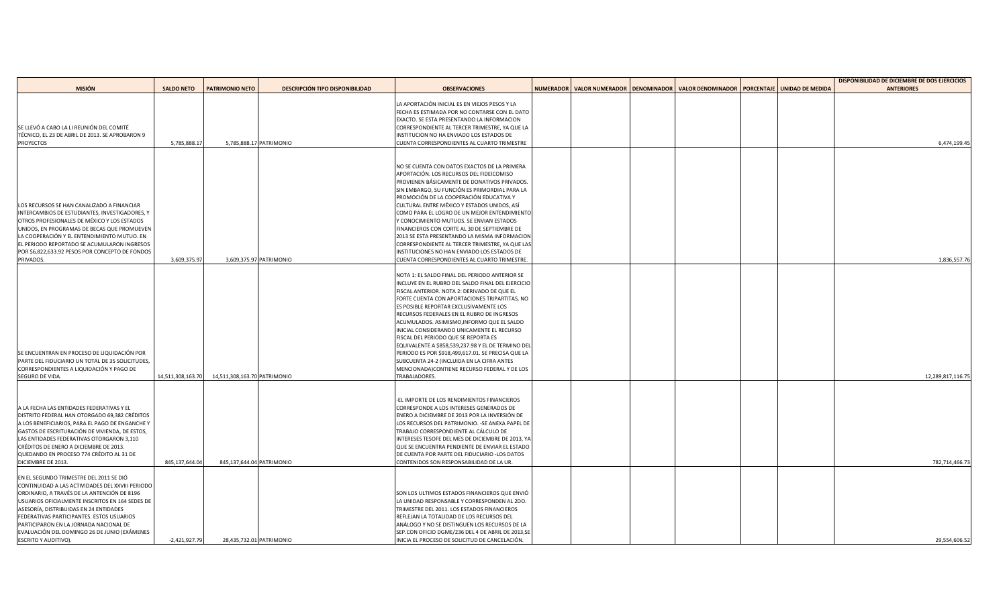|                                                         |                   |                              |                                        |                                                                |  |                                                                                               |  | DISPONIBILIDAD DE DICIEMBRE DE DOS EJERCICIOS |
|---------------------------------------------------------|-------------------|------------------------------|----------------------------------------|----------------------------------------------------------------|--|-----------------------------------------------------------------------------------------------|--|-----------------------------------------------|
| <b>MISIÓN</b>                                           | <b>SALDO NETO</b> | <b>PATRIMONIO NETO</b>       | <b>DESCRIPCIÓN TIPO DISPONIBILIDAD</b> | <b>OBSERVACIONES</b>                                           |  | NUMERADOR   VALOR NUMERADOR   DENOMINADOR   VALOR DENOMINADOR   PORCENTAJE   UNIDAD DE MEDIDA |  | <b>ANTERIORES</b>                             |
|                                                         |                   |                              |                                        |                                                                |  |                                                                                               |  |                                               |
|                                                         |                   |                              |                                        | LA APORTACIÓN INICIAL ES EN VIEJOS PESOS Y LA                  |  |                                                                                               |  |                                               |
|                                                         |                   |                              |                                        | FECHA ES ESTIMADA POR NO CONTARSE CON EL DATO                  |  |                                                                                               |  |                                               |
| SE LLEVÓ A CABO LA LI REUNIÓN DEL COMITÉ                |                   |                              |                                        | EXACTO. SE ESTA PRESENTANDO LA INFORMACION                     |  |                                                                                               |  |                                               |
|                                                         |                   |                              |                                        | CORRESPONDIENTE AL TERCER TRIMESTRE, YA QUE LA                 |  |                                                                                               |  |                                               |
| TÉCNICO, EL 23 DE ABRIL DE 2013. SE APROBARON 9         |                   |                              | 5,785,888.17 PATRIMONIO                | INSTITUCION NO HA ENVIADO LOS ESTADOS DE                       |  |                                                                                               |  | 6,474,199.45                                  |
| PROYECTOS                                               | 5,785,888.17      |                              |                                        | CUENTA CORRESPONDIENTES AL CUARTO TRIMESTRE                    |  |                                                                                               |  |                                               |
|                                                         |                   |                              |                                        |                                                                |  |                                                                                               |  |                                               |
|                                                         |                   |                              |                                        | NO SE CUENTA CON DATOS EXACTOS DE LA PRIMERA                   |  |                                                                                               |  |                                               |
|                                                         |                   |                              |                                        | APORTACIÓN. LOS RECURSOS DEL FIDEICOMISO                       |  |                                                                                               |  |                                               |
|                                                         |                   |                              |                                        | PROVIENEN BÁSICAMENTE DE DONATIVOS PRIVADOS.                   |  |                                                                                               |  |                                               |
|                                                         |                   |                              |                                        | SIN EMBARGO, SU FUNCIÓN ES PRIMORDIAL PARA LA                  |  |                                                                                               |  |                                               |
|                                                         |                   |                              |                                        | PROMOCIÓN DE LA COOPERACIÓN EDUCATIVA Y                        |  |                                                                                               |  |                                               |
| LOS RECURSOS SE HAN CANALIZADO A FINANCIAR              |                   |                              |                                        | CULTURAL ENTRE MÉXICO Y ESTADOS UNIDOS, ASÍ                    |  |                                                                                               |  |                                               |
| INTERCAMBIOS DE ESTUDIANTES, INVESTIGADORES, Y          |                   |                              |                                        | COMO PARA EL LOGRO DE UN MEJOR ENTENDIMIENTO                   |  |                                                                                               |  |                                               |
| OTROS PROFESIONALES DE MÉXICO Y LOS ESTADOS             |                   |                              |                                        | Y CONOCIMIENTO MUTUOS. SE ENVIAN ESTADOS                       |  |                                                                                               |  |                                               |
| UNIDOS, EN PROGRAMAS DE BECAS QUE PROMUEVEN             |                   |                              |                                        | FINANCIEROS CON CORTE AL 30 DE SEPTIEMBRE DE                   |  |                                                                                               |  |                                               |
| LA COOPERACIÓN Y EL ENTENDIMIENTO MUTUO. EN             |                   |                              |                                        | 2013 SE ESTA PRESENTANDO LA MISMA INFORMACION                  |  |                                                                                               |  |                                               |
| EL PERIODO REPORTADO SE ACUMULARON INGRESOS             |                   |                              |                                        | CORRESPONDIENTE AL TERCER TRIMESTRE, YA QUE LAS                |  |                                                                                               |  |                                               |
| POR \$6,822,633.92 PESOS POR CONCEPTO DE FONDOS         |                   |                              |                                        | INSTITUCIONES NO HAN ENVIADO LOS ESTADOS DE                    |  |                                                                                               |  |                                               |
| PRIVADOS.                                               | 3,609,375.97      |                              | 3,609,375.97 PATRIMONIO                | CUENTA CORRESPONDIENTES AL CUARTO TRIMESTRE                    |  |                                                                                               |  | 1,836,557.76                                  |
|                                                         |                   |                              |                                        |                                                                |  |                                                                                               |  |                                               |
|                                                         |                   |                              |                                        | NOTA 1: EL SALDO FINAL DEL PERIODO ANTERIOR SE                 |  |                                                                                               |  |                                               |
|                                                         |                   |                              |                                        | INCLUYE EN EL RUBRO DEL SALDO FINAL DEL EJERCICIO              |  |                                                                                               |  |                                               |
|                                                         |                   |                              |                                        | FISCAL ANTERIOR. NOTA 2: DERIVADO DE QUE EL                    |  |                                                                                               |  |                                               |
|                                                         |                   |                              |                                        | FORTE CUENTA CON APORTACIONES TRIPARTITAS, NO                  |  |                                                                                               |  |                                               |
|                                                         |                   |                              |                                        | ES POSIBLE REPORTAR EXCLUSIVAMENTE LOS                         |  |                                                                                               |  |                                               |
|                                                         |                   |                              |                                        | RECURSOS FEDERALES EN EL RUBRO DE INGRESOS                     |  |                                                                                               |  |                                               |
|                                                         |                   |                              |                                        | ACUMULADOS. ASIMISMO, INFORMO QUE EL SALDO                     |  |                                                                                               |  |                                               |
|                                                         |                   |                              |                                        | INICIAL CONSIDERANDO UNICAMENTE EL RECURSO                     |  |                                                                                               |  |                                               |
|                                                         |                   |                              |                                        | FISCAL DEL PERIODO QUE SE REPORTA ES                           |  |                                                                                               |  |                                               |
|                                                         |                   |                              |                                        | EQUIVALENTE A \$858,539,237.98 Y EL DE TERMINO DEL             |  |                                                                                               |  |                                               |
| SE ENCUENTRAN EN PROCESO DE LIQUIDACIÓN POR             |                   |                              |                                        | PERIODO ES POR \$918,499,617.01. SE PRECISA QUE LA             |  |                                                                                               |  |                                               |
| <b>PARTE DEL FIDUCIARIO UN TOTAL DE 35 SOLICITUDES,</b> |                   |                              |                                        |                                                                |  |                                                                                               |  |                                               |
| CORRESPONDIENTES A LIQUIDACIÓN Y PAGO DE                |                   |                              |                                        | SUBCUENTA 24-2 (INCLUIDA EN LA CIFRA ANTES                     |  |                                                                                               |  |                                               |
| SEGURO DE VIDA.                                         | 14,511,308,163.70 | 14,511,308,163.70 PATRIMONIO |                                        | MENCIONADA) CONTIENE RECURSO FEDERAL Y DE LOS<br>TRABAJADORES. |  |                                                                                               |  | 12,289,817,116.75                             |
|                                                         |                   |                              |                                        |                                                                |  |                                                                                               |  |                                               |
|                                                         |                   |                              |                                        |                                                                |  |                                                                                               |  |                                               |
|                                                         |                   |                              |                                        | -EL IMPORTE DE LOS RENDIMIENTOS FINANCIEROS                    |  |                                                                                               |  |                                               |
| A LA FECHA LAS ENTIDADES FEDERATIVAS Y EL               |                   |                              |                                        | CORRESPONDE A LOS INTERESES GENERADOS DE                       |  |                                                                                               |  |                                               |
| DISTRITO FEDERAL HAN OTORGADO 69,382 CRÉDITOS           |                   |                              |                                        | ENERO A DICIEMBRE DE 2013 POR LA INVERSIÓN DE                  |  |                                                                                               |  |                                               |
| A LOS BENEFICIARIOS, PARA EL PAGO DE ENGANCHE Y         |                   |                              |                                        | LOS RECURSOS DEL PATRIMONIO. - SE ANEXA PAPEL DE               |  |                                                                                               |  |                                               |
| GASTOS DE ESCRITURACIÓN DE VIVIENDA, DE ESTOS,          |                   |                              |                                        | TRABAJO CORRESPONDIENTE AL CÁLCULO DE                          |  |                                                                                               |  |                                               |
| LAS ENTIDADES FEDERATIVAS OTORGARON 3,110               |                   |                              |                                        | INTERESES TESOFE DEL MES DE DICIEMBRE DE 2013, YA              |  |                                                                                               |  |                                               |
| CRÉDITOS DE ENERO A DICIEMBRE DE 2013.                  |                   |                              |                                        | QUE SE ENCUENTRA PENDIENTE DE ENVIAR EL ESTADO                 |  |                                                                                               |  |                                               |
| QUEDANDO EN PROCESO 774 CRÉDITO AL 31 DE                |                   |                              |                                        | DE CUENTA POR PARTE DEL FIDUCIARIO -LOS DATOS                  |  |                                                                                               |  |                                               |
| DICIEMBRE DE 2013.                                      | 845,137,644.04    | 845,137,644.04 PATRIMONIO    |                                        | CONTENIDOS SON RESPONSABILIDAD DE LA UR.                       |  |                                                                                               |  | 782,714,466.73                                |
|                                                         |                   |                              |                                        |                                                                |  |                                                                                               |  |                                               |
| EN EL SEGUNDO TRIMESTRE DEL 2011 SE DIÓ                 |                   |                              |                                        |                                                                |  |                                                                                               |  |                                               |
| CONTINUIDAD A LAS ACTIVIDADES DEL XXVIII PERIODO        |                   |                              |                                        |                                                                |  |                                                                                               |  |                                               |
| ORDINARIO, A TRAVÉS DE LA ANTENCIÓN DE 8196             |                   |                              |                                        | SON LOS ULTIMOS ESTADOS FINANCIEROS QUE ENVIÓ                  |  |                                                                                               |  |                                               |
| USUARIOS OFICIALMENTE INSCRITOS EN 164 SEDES DE         |                   |                              |                                        | LA UNIDAD RESPONSABLE Y CORRESPONDEN AL 2DO.                   |  |                                                                                               |  |                                               |
| ASESORÍA, DISTRIBUIDAS EN 24 ENTIDADES                  |                   |                              |                                        | TRIMESTRE DEL 2011. LOS ESTADOS FINANCIEROS                    |  |                                                                                               |  |                                               |
| <b>FEDERATIVAS PARTICIPANTES. ESTOS USUARIOS</b>        |                   |                              |                                        | REFLEJAN LA TOTALIDAD DE LOS RECURSOS DEL                      |  |                                                                                               |  |                                               |
| PARTICIPARON EN LA JORNADA NACIONAL DE                  |                   |                              |                                        | ANÁLOGO Y NO SE DISTINGUEN LOS RECURSOS DE LA                  |  |                                                                                               |  |                                               |
| EVALUACIÓN DEL DOMINGO 26 DE JUNIO (EXÁMENES            |                   |                              |                                        | SEP.CON OFICIO DGME/236 DEL 4 DE ABRIL DE 2013, SE             |  |                                                                                               |  |                                               |
| <b>ESCRITO Y AUDITIVO).</b>                             | $-2,421,927.79$   |                              | 28,435,732.01 PATRIMONIO               | INICIA EL PROCESO DE SOLICITUD DE CANCELACIÓN.                 |  |                                                                                               |  | 29,554,606.52                                 |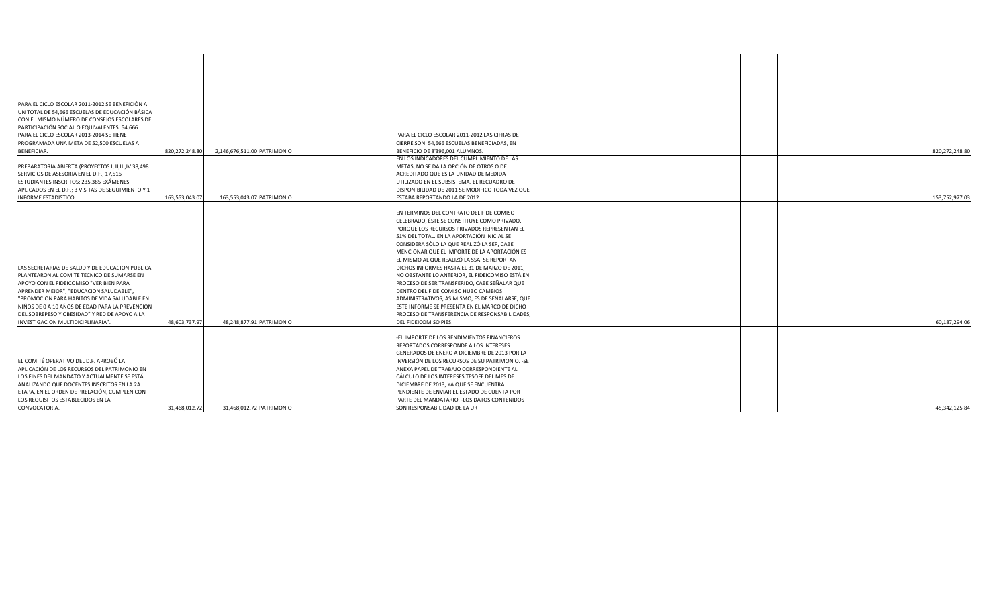| PARA EL CICLO ESCOLAR 2011-2012 SE BENEFICIÓN A                                                                                                                                                                                                                                                                                                                              |                |                             |                          |                                                                                                                                                                                                                                                                                                                                                                                                                                                                                                                                                                                                                                                                                                                    |  |                 |
|------------------------------------------------------------------------------------------------------------------------------------------------------------------------------------------------------------------------------------------------------------------------------------------------------------------------------------------------------------------------------|----------------|-----------------------------|--------------------------|--------------------------------------------------------------------------------------------------------------------------------------------------------------------------------------------------------------------------------------------------------------------------------------------------------------------------------------------------------------------------------------------------------------------------------------------------------------------------------------------------------------------------------------------------------------------------------------------------------------------------------------------------------------------------------------------------------------------|--|-----------------|
| UN TOTAL DE 54,666 ESCUELAS DE EDUCACIÓN BÁSICA                                                                                                                                                                                                                                                                                                                              |                |                             |                          |                                                                                                                                                                                                                                                                                                                                                                                                                                                                                                                                                                                                                                                                                                                    |  |                 |
| CON EL MISMO NÚMERO DE CONSEJOS ESCOLARES DE                                                                                                                                                                                                                                                                                                                                 |                |                             |                          |                                                                                                                                                                                                                                                                                                                                                                                                                                                                                                                                                                                                                                                                                                                    |  |                 |
| PARTICIPACIÓN SOCIAL O EQUIVALENTES: 54,666.                                                                                                                                                                                                                                                                                                                                 |                |                             |                          |                                                                                                                                                                                                                                                                                                                                                                                                                                                                                                                                                                                                                                                                                                                    |  |                 |
| PARA EL CICLO ESCOLAR 2013-2014 SE TIENE                                                                                                                                                                                                                                                                                                                                     |                |                             |                          | PARA EL CICLO ESCOLAR 2011-2012 LAS CIFRAS DE                                                                                                                                                                                                                                                                                                                                                                                                                                                                                                                                                                                                                                                                      |  |                 |
| PROGRAMADA UNA META DE 52,500 ESCUELAS A                                                                                                                                                                                                                                                                                                                                     |                |                             |                          | CIERRE SON: 54,666 ESCUELAS BENEFICIADAS, EN                                                                                                                                                                                                                                                                                                                                                                                                                                                                                                                                                                                                                                                                       |  |                 |
| <b>BENEFICIAR.</b>                                                                                                                                                                                                                                                                                                                                                           | 820,272,248.80 | 2,146,676,511.00 PATRIMONIO |                          | BENEFICIO DE 8'396,001 ALUMNOS.                                                                                                                                                                                                                                                                                                                                                                                                                                                                                                                                                                                                                                                                                    |  | 820,272,248.8   |
|                                                                                                                                                                                                                                                                                                                                                                              |                |                             |                          | EN LOS INDICADORES DEL CUMPLIMIENTO DE LAS                                                                                                                                                                                                                                                                                                                                                                                                                                                                                                                                                                                                                                                                         |  |                 |
| PREPARATORIA ABIERTA (PROYECTOS I, II, III, IV 38,498                                                                                                                                                                                                                                                                                                                        |                |                             |                          | METAS, NO SE DA LA OPCIÓN DE OTROS O DE                                                                                                                                                                                                                                                                                                                                                                                                                                                                                                                                                                                                                                                                            |  |                 |
| SERVICIOS DE ASESORIA EN EL D.F.; 17,516                                                                                                                                                                                                                                                                                                                                     |                |                             |                          | ACREDITADO QUE ES LA UNIDAD DE MEDIDA                                                                                                                                                                                                                                                                                                                                                                                                                                                                                                                                                                                                                                                                              |  |                 |
| ESTUDIANTES INSCRITOS; 235,385 EXÁMENES                                                                                                                                                                                                                                                                                                                                      |                |                             |                          | UTILIZADO EN EL SUBSISTEMA. EL RECUADRO DE                                                                                                                                                                                                                                                                                                                                                                                                                                                                                                                                                                                                                                                                         |  |                 |
| APLICADOS EN EL D.F.; 3 VISITAS DE SEGUIMIENTO Y 1                                                                                                                                                                                                                                                                                                                           |                |                             |                          | DISPONIBILIDAD DE 2011 SE MODIFICO TODA VEZ QUE                                                                                                                                                                                                                                                                                                                                                                                                                                                                                                                                                                                                                                                                    |  |                 |
| <b>INFORME ESTADISTICO.</b>                                                                                                                                                                                                                                                                                                                                                  | 163,553,043.07 | 163,553,043.07 PATRIMONIO   |                          | ESTABA REPORTANDO LA DE 2012                                                                                                                                                                                                                                                                                                                                                                                                                                                                                                                                                                                                                                                                                       |  | 153,752,977.03  |
| LAS SECRETARIAS DE SALUD Y DE EDUCACION PUBLICA<br>PLANTEARON AL COMITE TECNICO DE SUMARSE EN<br>APOYO CON EL FIDEICOMISO "VER BIEN PARA<br>APRENDER MEJOR", "EDUCACION SALUDABLE",<br>"PROMOCION PARA HABITOS DE VIDA SALUDABLE EN<br>NIÑOS DE 0 A 10 AÑOS DE EDAD PARA LA PREVENCION<br>DEL SOBREPESO Y OBESIDAD" Y RED DE APOYO A LA<br>INVESTIGACION MULTIDICIPLINARIA". | 48,603,737.97  |                             | 48,248,877.91 PATRIMONIO | EN TERMINOS DEL CONTRATO DEL FIDEICOMISO<br>CELEBRADO, ÉSTE SE CONSTITUYE COMO PRIVADO,<br><b>PORQUE LOS RECURSOS PRIVADOS REPRESENTAN EL</b><br>51% DEL TOTAL. EN LA APORTACIÓN INICIAL SE<br>CONSIDERA SÒLO LA QUE REALIZÓ LA SEP, CABE<br>MENCIONAR QUE EL IMPORTE DE LA APORTACIÓN ES<br>EL MISMO AL QUE REALIZÓ LA SSA. SE REPORTAN<br>DICHOS INFORMES HASTA EL 31 DE MARZO DE 2011,<br>NO OBSTANTE LO ANTERIOR, EL FIDEICOMISO ESTÁ EN<br>PROCESO DE SER TRANSFERIDO, CABE SEÑALAR QUE<br>DENTRO DEL FIDEICOMISO HUBO CAMBIOS<br>ADMINISTRATIVOS, ASIMISMO, ES DE SEÑALARSE, QUE<br>ESTE INFORME SE PRESENTA EN EL MARCO DE DICHO<br>PROCESO DE TRANSFERENCIA DE RESPONSABILIDADES,<br>DEL FIDEICOMISO PIES. |  | 60,187,294.06   |
|                                                                                                                                                                                                                                                                                                                                                                              |                |                             |                          |                                                                                                                                                                                                                                                                                                                                                                                                                                                                                                                                                                                                                                                                                                                    |  |                 |
| EL COMITÉ OPERATIVO DEL D.F. APROBÓ LA<br>APLICACIÓN DE LOS RECURSOS DEL PATRIMONIO EN<br>LOS FINES DEL MANDATO Y ACTUALMENTE SE ESTÁ                                                                                                                                                                                                                                        |                |                             |                          | -EL IMPORTE DE LOS RENDIMIENTOS FINANCIEROS<br><b>REPORTADOS CORRESPONDE A LOS INTERESES</b><br>GENERADOS DE ENERO A DICIEMBRE DE 2013 POR LA<br>INVERSIÓN DE LOS RECURSOS DE SU PATRIMONIO. - SE<br><b>ANEXA PAPEL DE TRABAJO CORRESPONDIENTE AL</b><br>CÁLCULO DE LOS INTERESES TESOFE DEL MES DE                                                                                                                                                                                                                                                                                                                                                                                                                |  |                 |
| ANALIZANDO QUÉ DOCENTES INSCRITOS EN LA 2A.                                                                                                                                                                                                                                                                                                                                  |                |                             |                          | DICIEMBRE DE 2013, YA QUE SE ENCUENTRA                                                                                                                                                                                                                                                                                                                                                                                                                                                                                                                                                                                                                                                                             |  |                 |
| ETAPA, EN EL ORDEN DE PRELACIÓN, CUMPLEN CON                                                                                                                                                                                                                                                                                                                                 |                |                             |                          | PENDIENTE DE ENVIAR EL ESTADO DE CUENTA POR                                                                                                                                                                                                                                                                                                                                                                                                                                                                                                                                                                                                                                                                        |  |                 |
| LOS REQUISITOS ESTABLECIDOS EN LA                                                                                                                                                                                                                                                                                                                                            |                |                             |                          | PARTE DEL MANDATARIO. - LOS DATOS CONTENIDOS                                                                                                                                                                                                                                                                                                                                                                                                                                                                                                                                                                                                                                                                       |  |                 |
| CONVOCATORIA.                                                                                                                                                                                                                                                                                                                                                                | 31,468,012.72  |                             | 31,468,012.72 PATRIMONIO | SON RESPONSABILIDAD DE LA UR                                                                                                                                                                                                                                                                                                                                                                                                                                                                                                                                                                                                                                                                                       |  | 45, 342, 125.84 |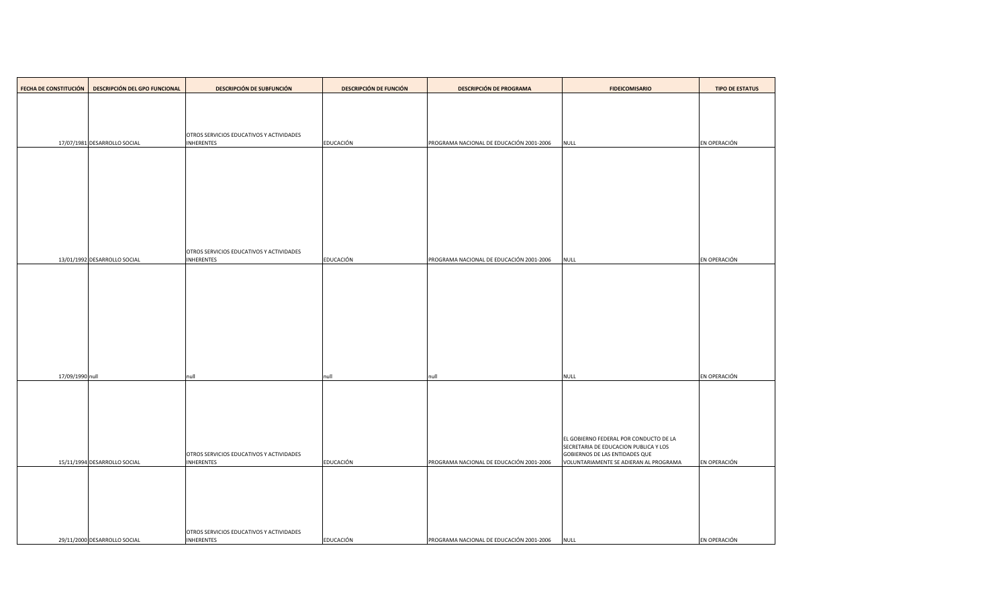| <b>FECHA DE CONSTITUCIÓN</b> | <b>DESCRIPCIÓN DEL GPO FUNCIONAL</b> | <b>DESCRIPCIÓN DE SUBFUNCIÓN</b>                                     | <b>DESCRIPCIÓN DE FUNCIÓN</b> | <b>DESCRIPCIÓN DE PROGRAMA</b>           | <b>FIDEICOMISARIO</b>                                                          | <b>TIPO DE ESTATUS</b> |
|------------------------------|--------------------------------------|----------------------------------------------------------------------|-------------------------------|------------------------------------------|--------------------------------------------------------------------------------|------------------------|
|                              |                                      |                                                                      |                               |                                          |                                                                                |                        |
|                              |                                      |                                                                      |                               |                                          |                                                                                |                        |
|                              |                                      | <b>OTROS SERVICIOS EDUCATIVOS Y ACTIVIDADES</b>                      |                               |                                          |                                                                                |                        |
|                              | 17/07/1981 DESARROLLO SOCIAL         | <b>INHERENTES</b>                                                    | EDUCACIÓN                     | PROGRAMA NACIONAL DE EDUCACIÓN 2001-2006 | <b>NULL</b>                                                                    | EN OPERACIÓN           |
|                              |                                      |                                                                      |                               |                                          |                                                                                |                        |
|                              |                                      |                                                                      |                               |                                          |                                                                                |                        |
|                              |                                      |                                                                      |                               |                                          |                                                                                |                        |
|                              |                                      |                                                                      |                               |                                          |                                                                                |                        |
|                              |                                      |                                                                      |                               |                                          |                                                                                |                        |
|                              |                                      |                                                                      |                               |                                          |                                                                                |                        |
|                              | 13/01/1992 DESARROLLO SOCIAL         | <b>OTROS SERVICIOS EDUCATIVOS Y ACTIVIDADES</b><br><b>INHERENTES</b> | EDUCACIÓN                     | PROGRAMA NACIONAL DE EDUCACIÓN 2001-2006 | <b>NULL</b>                                                                    | EN OPERACIÓN           |
|                              |                                      |                                                                      |                               |                                          |                                                                                |                        |
|                              |                                      |                                                                      |                               |                                          |                                                                                |                        |
|                              |                                      |                                                                      |                               |                                          |                                                                                |                        |
|                              |                                      |                                                                      |                               |                                          |                                                                                |                        |
|                              |                                      |                                                                      |                               |                                          |                                                                                |                        |
|                              |                                      |                                                                      |                               |                                          |                                                                                |                        |
| 17/09/1990 null              |                                      | null                                                                 | null                          | null                                     | <b>NULL</b>                                                                    | EN OPERACIÓN           |
|                              |                                      |                                                                      |                               |                                          |                                                                                |                        |
|                              |                                      |                                                                      |                               |                                          |                                                                                |                        |
|                              |                                      |                                                                      |                               |                                          |                                                                                |                        |
|                              |                                      |                                                                      |                               |                                          | EL GOBIERNO FEDERAL POR CONDUCTO DE LA                                         |                        |
|                              |                                      | <b>OTROS SERVICIOS EDUCATIVOS Y ACTIVIDADES</b>                      |                               |                                          | SECRETARIA DE EDUCACION PUBLICA Y LOS<br><b>GOBIERNOS DE LAS ENTIDADES QUE</b> |                        |
|                              | 15/11/1994 DESARROLLO SOCIAL         | <b>INHERENTES</b>                                                    | EDUCACIÓN                     | PROGRAMA NACIONAL DE EDUCACIÓN 2001-2006 | VOLUNTARIAMENTE SE ADIERAN AL PROGRAMA                                         | EN OPERACIÓN           |
|                              |                                      |                                                                      |                               |                                          |                                                                                |                        |
|                              |                                      |                                                                      |                               |                                          |                                                                                |                        |
|                              |                                      |                                                                      |                               |                                          |                                                                                |                        |
|                              | 29/11/2000 DESARROLLO SOCIAL         | <b>OTROS SERVICIOS EDUCATIVOS Y ACTIVIDADES</b><br><b>INHERENTES</b> | EDUCACIÓN                     | PROGRAMA NACIONAL DE EDUCACIÓN 2001-2006 | <b>NULL</b>                                                                    | EN OPERACIÓN           |